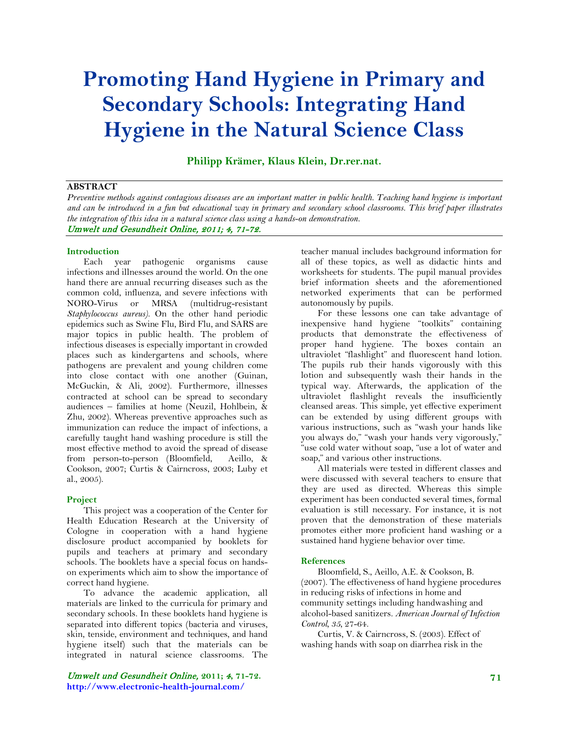# **Promoting Hand Hygiene in Primary and Secondary Schools: Integrating Hand Hygiene in the Natural Science Class**

**Philipp Krämer, Klaus Klein, Dr.rer.nat.**

| <b>ABSTRACT</b>                                                                                                             |
|-----------------------------------------------------------------------------------------------------------------------------|
| Preventive methods against contagious diseases are an important matter in public health. Teaching hand hygiene is important |
| and can be introduced in a fun but educational way in primary and secondary school classrooms. This brief paper illustrates |
| the integration of this idea in a natural science class using a hands-on demonstration.                                     |
| Umwelt und Gesundheit Online, 2011; 4, 71-72.                                                                               |

### **Introduction**

Each year pathogenic organisms cause infections and illnesses around the world. On the one hand there are annual recurring diseases such as the common cold, influenza, and severe infections with NORO-Virus or MRSA (multidrug-resistant *Staphylococcus aureus)*. On the other hand periodic epidemics such as Swine Flu, Bird Flu, and SARS are major topics in public health. The problem of infectious diseases is especially important in crowded places such as kindergartens and schools, where pathogens are prevalent and young children come into close contact with one another (Guinan, McGuckin, & Ali, 2002). Furthermore, illnesses contracted at school can be spread to secondary audiences – families at home (Neuzil, Hohlbein, & Zhu, 2002). Whereas preventive approaches such as immunization can reduce the impact of infections, a carefully taught hand washing procedure is still the most effective method to avoid the spread of disease from person-to-person (Bloomfield, Aeillo, & Cookson, 2007; Curtis & Cairncross, 2003; Luby et al., 2005).

### **Project**

This project was a cooperation of the Center for Health Education Research at the University of Cologne in cooperation with a hand hygiene disclosure product accompanied by booklets for pupils and teachers at primary and secondary schools. The booklets have a special focus on handson experiments which aim to show the importance of correct hand hygiene.

To advance the academic application, all materials are linked to the curricula for primary and secondary schools. In these booklets hand hygiene is separated into different topics (bacteria and viruses, skin, tenside, environment and techniques, and hand hygiene itself) such that the materials can be integrated in natural science classrooms. The

Umwelt und Gesundheit Online, **2011;** 4**, 71-72. http://www.electronic-health-journal.com/**

teacher manual includes background information for all of these topics, as well as didactic hints and worksheets for students. The pupil manual provides brief information sheets and the aforementioned networked experiments that can be performed autonomously by pupils.

For these lessons one can take advantage of inexpensive hand hygiene "toolkits" containing products that demonstrate the effectiveness of proper hand hygiene. The boxes contain an ultraviolet "flashlight" and fluorescent hand lotion. The pupils rub their hands vigorously with this lotion and subsequently wash their hands in the typical way. Afterwards, the application of the ultraviolet flashlight reveals the insufficiently cleansed areas. This simple, yet effective experiment can be extended by using different groups with various instructions, such as "wash your hands like you always do," "wash your hands very vigorously," "use cold water without soap, "use a lot of water and soap," and various other instructions.

All materials were tested in different classes and were discussed with several teachers to ensure that they are used as directed. Whereas this simple experiment has been conducted several times, formal evaluation is still necessary. For instance, it is not proven that the demonstration of these materials promotes either more proficient hand washing or a sustained hand hygiene behavior over time.

#### **References**

Bloomfield, S., Aeillo, A.E. & Cookson, B. (2007). The effectiveness of hand hygiene procedures in reducing risks of infections in home and community settings including handwashing and alcohol-based sanitizers. *American Journal of Infection Control, 35,* 27-64*.*

Curtis, V. & Cairncross, S. (2003). Effect of washing hands with soap on diarrhea risk in the